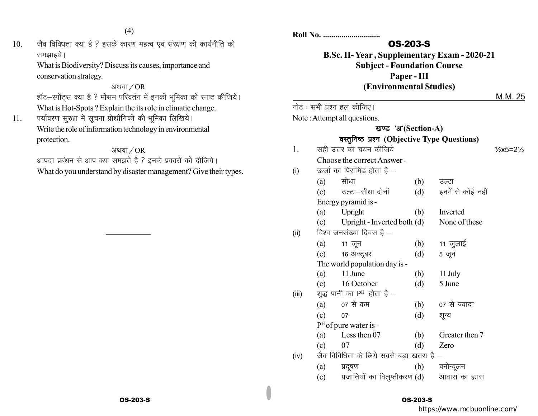(4)

 $10.$  पैव विविधता क्या है ? इसके कारण महत्व एवं संरक्षण की कार्यनीति को समझाइये।

What is Biodiversity? Discuss its causes, importance and conservation strategy.

## अथवा $/$ OR

हॉट-स्पॉट्स क्या है ? मौसम परिवर्तन में इनकी भूमिका को स्पष्ट कीजिये। What is Hot-Spots ? Explain the its role in climatic change.

11. पर्यावरण सुरक्षा में सूचना प्रोद्यौगिकी की भूमिका लिखिये। Write the role of information technology in environmental protection.

#### अथवा $\sqrt{OR}$

 $\frac{1}{2}$ 

आपदा प्रबंधन से आप क्या समझते है ? इनके प्रकारों को दीजिये। What do you understand by disaster management? Give their types.

# **Roll No. ............................**

# OS-203-S

**B.Sc. II- Year , Supplementary Exam - 2020-21 Subject - Foundation Course Paper - III (Environmental Studies)**

#### M.M. 25

नोट: सभी प्रश्न हल कीजिए।

Note : Attempt all questions.

# खण्ड<sup>'</sup>अ'(Section-A) **वस्तुनिष्ठ प्रश्न (Objective Type Questions)**

- $1.$  सही उत्तर का चयन कीजिये  $\frac{1}{2}$  x5=2½ Choose the correct Answer -  $(i)$  कर्जा का पिरामिड होता है –
- (a) सीधा (b) उल्टा (c) जल्टा-सीधा दोनों (d) इनमें से कोई नहीं Energy pyramid is - (a) Upright (b) Inverted (c) Upright - Inverted both (d) None of these  $(ii)$  विश्व जनसंख्या दिवस है – (a)  $11 \overline{q}$ न (b)  $11 \overline{q}$ लाई  $(c)$  16 अक्टूबर  $(d)$  5 जून The world population day is - (a) 11 June (b) 11 July (c) 16 October (d) 5 June (iii) शुद्ध पानी का  $\mathrm{P^{H}}$  होता है  $(a)$  07 से कम  $(b)$  07 से ज्यादा (c) 07 (d) शून्य

P <sup>H</sup>of pure water is -

- (a) Less then 07 (b) Greater then 7
- (c) 07 (d) Zero
- (iv) जैव विविधिता के लिये सबसे बड़ा खतरा है
	- (a) प्रदूषण (b) बनोन्यूलन
	- $\delta$ (c) प्रजातियों का विलुप्तीकरण $\delta$ (d) अावास का ह्यास